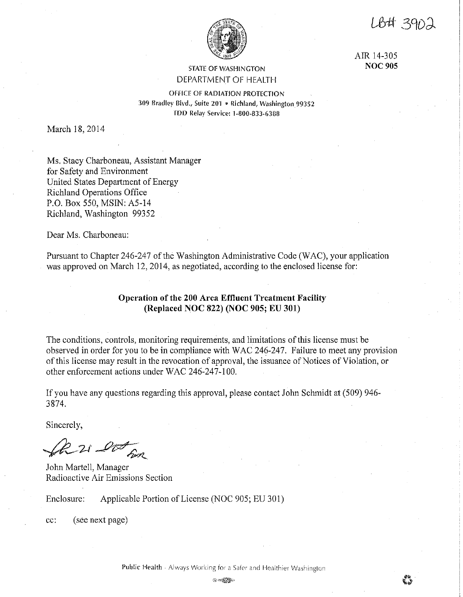LB# 390

AIR 14-305 **NOC 905** 



**STATE OF WASHINGTON** DEPARTMENT OF HEALTH

OFFICE OF RADIATION PROTECTION 309 Bradley Blvd., Suite 201 • Richland, Washington 99352 fDO Relay Service: 1-800-833-f,388

March 18, 2014

Ms. Stacy Charboneau, Assistant Manager for Safety and Environment United States Department of Energy Richland Operations Office P.O. Box 550, MSIN: A5-14 Richland, Washington 99352

Dear Ms. Charboneau:

Pursuant to Chapter 246-247 of the Washington Administrative Code (WAC), your application was approved on March 12, 2014, as negotiated, according to the enclosed license for:

# **Operation of the 200 Area Effluent Treatment Facility (Replaced NOC 822) (NOC 905; EU 301)**

The conditions, controls, monitoring requirements, and limitations of this license must be observed in order for you to be in compliance with WAC 246-247. Failure to meet any provision of this license may result in the revocation of approval, the issuance of Notices of Violation, or other enforcement actions under WAC 246-247-100.

If you have any questions regarding this approval, please contact John Schmidt at (509) 946- 3874.

Sincerely,

*~,\_,\_-µ·....P~/l..* 

John Martell, Manager Radioactive Air Emissions Section

Enclosure: Applicable Portion of License (NOC 905; EU 301)

cc: (see next page)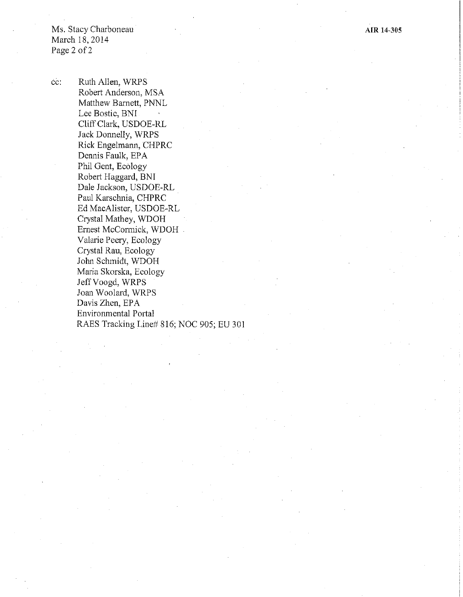Ms. Stacy Charboneau March 18,2014 Page 2 of 2

cc: Ruth Allen, WRPS Robert Anderson, MSA Matthew Barnett, PNNL Lee Bostic, BNI Cliff Clark, USDOE-RL Jack Donnelly, WRPS Rick Engelmann, CHPRC Dennis Faulk, EPA Phil Gent, Ecology Robert Haggard, BNI Dale Jackson, USDOE-RL . Paul Karschnia, CHPRC Ed MacAlister, USDOE-RL Crystal Mathey, WDOH Ernest McCormick, WDOH Valarie Peery, Ecology Crystal Rau, Ecology John Schmidt, WDOH Maria Skorska, Ecology Jeff Voogd, WRPS Joan Woolard, WRPS Davis Zhen, EPA Environmental Portal RAES Tracking Line# 816; NOC 905; EU 301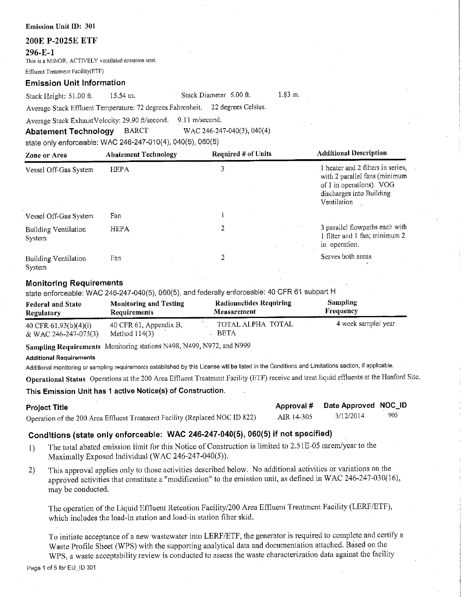# **200E P-2025E ETF**

#### **296-E-1**

This is a MINOR, ACTIVELY ventilated emission unit.

Effluent Treatment Facility(ETF)

## **Emission Unit Information**

Stack Height: 51.00 ft. 15.54 m. Stack Diameter 6.00 ft.

1.83 m,

**Approval#** 

**Date Approved NOC\_ID**  3/12/2014 905

Average Stack Effluent Temperature: 72 degrees Fahrenheit. 22 degrees Celsius.

Average Stack Exhaust Velocity: 29.90 ft/second, 9.11 m/second.

**Abatement Technology** BARCT WAC 246-247-040(3), 040(4)

state only enforceable: WAC 246-247-010(4), 040(5), 060(5)

| Zone or Area                          | <b>Abatement Technology</b> | <b>Required # of Units</b> | <b>Additional Description</b>                                                                                                             |
|---------------------------------------|-----------------------------|----------------------------|-------------------------------------------------------------------------------------------------------------------------------------------|
| Vessel Off-Gas System                 | <b>HEPA</b>                 | 3                          | 1 heater and 2 filters in series,<br>with 2 parallel fans (minimum<br>of 1 in operations). VOG<br>discharges into Building<br>Ventilation |
| Vessel Off-Gas System                 | Fan                         |                            |                                                                                                                                           |
| <b>Building Ventilation</b><br>System | <b>HEPA</b>                 | 2                          | 3 parallel flowpaths each with<br>1 filter and 1 fan; minimum 2<br>in operation.                                                          |
| <b>Building Ventilation</b><br>System | Fan                         |                            | Serves both areas                                                                                                                         |

## **Monitoring Requirements**

state enforceable: WAC 246-247-040(5), 060(5), and federally enforceable: 40 CFR 61 subpart H

| <b>Federal and State</b> | <b>Monitoring and Testing</b> | Radionuclides Requiring | <b>Sampling</b>     |  |
|--------------------------|-------------------------------|-------------------------|---------------------|--|
| <b>Regulatory</b>        | <b>Requirements</b>           | <b>Measurement</b>      | Frequency           |  |
| 40 CFR $61.93(b)(4)(i)$  | 40 CFR $61$ , Appendix B,     | TOTAL ALPHA TOTAL       | 4 week sample/ year |  |
| & WAC 246-247-075(3)     | Method $114(3)$               | <b>BETA</b>             |                     |  |

**Sampling Requirements** Monitoring stations N498, N499, N972, and N999

## Additional Requirements

Additional monitoring or sampling requirements established by this License wl!I be listed in the Conditions and Limitations section, if applicable.

**Operational Status** Operations at the 200 Area Effluent Treatment Facility (ETF) receive and treat liquid effluents at the Hanford Site.

## **This Emission Unit has 1 active Notice(s) of Construction.**

## **Project Title**

Operation of the 200 Area Effluent Treatment Facility (Replaced NOC ID 822) AIR 14-305

# **Conditions (state only enforceable: WAC 246-247-040(5), 060(5) if not specified)**

- 1) The total abated emission limit for this Notice of Construction is limited to 2.51E-05 mrem/year to the Maximally Exposed Individual (WAC 246-247-040(5)).
- 2) This approval applies only to those activities described below. No additional activities or variations on the approved activities that constitute a "modification" to the emission unit, as defined in WAC 246-247-030(16), may be conducted,

The operation of the Liquid Effluent Retention Facility/200 Area Effluent Treatment Facility (LERF/ETF), which includes the load-in station and load-in station filter skid.

To initiate acceptance of a new wastewater into LERF/ETF, the generator is required to complete and certify a Waste Profile Sheet (WPS) with the supporting analytical data and documentation attached. Based on the WPS, a waste acceptability review is conducted to assess the waste characterization data against the facility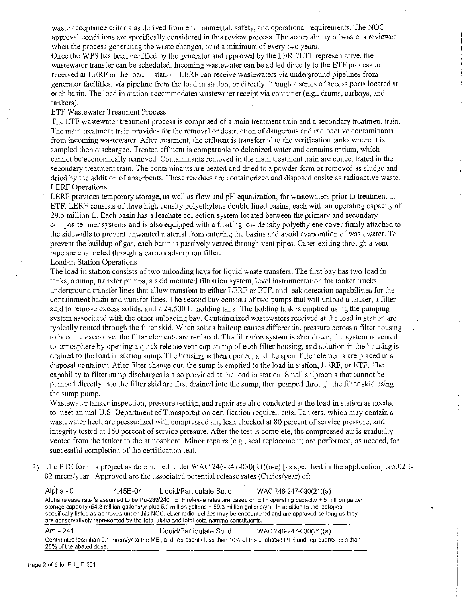waste acceptance criteria as derived from environmental, safety, and operational requirements. The NOC approval conditions are specifically considered in this review process. The acceptability of waste is reviewed when the process generating the waste changes, or at a minimum of every two years.

Once the WPS has been certified by the generator and approved by the LERF/ETF representative, the wastewater transfer can be scheduled. Incoming wastewater can be added directly to the ETF process or received at LERF or the load in station. LERF can receive wastewaters via underground pipelines from generator facilities, via pipeline from the load in station, or directly through a series of access ports located at each basin. The load in station accommodates wastewater receipt via container (e.g., drums, carboys, and tankers).

#### ETF Wastewater Treatment Process

The ETF wastewater treatment process is comprised of a main treatment train and a secondary treatment train. The main treatment train provides for the removal or destruction of dangerous and radioactive contaminants from incoming wastewater. After treatment, the effluent is transferred to the verification tanks where it is sampled then discharged. Treated effluent is comparable to deionized water and contains tritium, which cannot be economically removed. Contaminants removed in the main treatment train are concentrated in the secondary treatment train. The contaminants are heated and dried to a powder fonn or removed as sludge and dried by the addition of absorbents. These residues are containerized and disposed onsite as radioactive waste. LERF Operations

LERF provides temporary storage, as well as flow and pH equalization, for wastewaters prior to treatment at ETF. LERF consists of three high density polyethylene double lined basins, each with an operating capacity of 29.5 million L. Each basin has a leachate collection system located between the primary and secondary composite liner systems and is also equipped with a floating low density polyethylene cover finnly attached to the sidewalls to prevent unwanted material from entering the basins and avoid evaporation of wastewater. To prevent the buildup of gas, each basin is passively vented through vent pipes. Gases exiting through a vent pipe are channeled through a carbon adsorption filter.

## Load-in Station Operations

The load in station consists of two unloading bays for liquid waste transfers. The first bay has two load in tanks, a sump, transfer pumps, a skid mounted filtration system, level instrumentation for tanker trucks, underground transfer lines that allow transfers to either LERF or ETF, and leak detection capabilities for the containment basin and transfer lines. The second bay consists of two pumps that will unload a tanker, a filler skid to remove excess solids, and a 24,500 L holding tank. The holding tank is emptied using the pumping system associated with the other unloading bay. Containerized wastewaters received at the load in station are typically routed through the filter skid. When solids buildup causes differential pressure across a filter housing to become excessive, the filter elements arereplaced. The filtration system is shut down, the system is vented to atmosphere by opening a quick release vent cap on top of each filter housing, and solution in the housing is drained to the load in station sump. The housing is then opened, and the spent filter elements are placed in a disposal container. After filter change out, the sump is emptied to the load in station, LERF, or ETF. The capability to filter sump discharges is also provided at the load in station. Small shipments that cannot be pumped directly into the filter skid are first drained into the sump, then pumped through the filter skid using the sump pump.

Wastewater tanker inspection, pressure testing, and repair are also conducted at the load in station as needed to meet annual U.S. Department of Transportation certification requirements. Tankers, which may contain a wastewater heel, are pressurized with compressed air, leak checked at 80 percent of service pressure, and integrity tested at 150 percent of service pressure. After the test is complete, the compressed air is gradually vented from the tanker to the atmosphere. Minor repairs (e.g., seal replacement) are perfonned, as needed, for successful completion of the certification test.

3) The PTE for this project as determined under WAC 246-247-030(2l)(a-e) [as specified in the application] is 5.02E-02 mrem/year. Approved are the associated potential release rates (Curies/year) of:

| Alpha - 0 | 4.45E-04                | Liquid/Particulate Solid                                                             | WAC 246-247-030(21)(a)                                                                                                                                                                                                                                                                                                                                                            |
|-----------|-------------------------|--------------------------------------------------------------------------------------|-----------------------------------------------------------------------------------------------------------------------------------------------------------------------------------------------------------------------------------------------------------------------------------------------------------------------------------------------------------------------------------|
|           |                         | are conservatively represented by the total alpha and total beta-gamma constituents. | Alpha release rate is assumed to be Pu-239/240. ETF release rates are based on ETF operating capacity + 5 million gallon<br>storage capacity (54.3 million gallons/yr plus 5.0 million gallons = 59.3 million gallons/yr). In addition to the isotopes<br>specifically listed as approved under this NOC, other radionuclides may be encountered and are approved so long as they |
| Am - 241  |                         | Liquid/Particulate Solid                                                             | WAC 246-247-030(21)(a)                                                                                                                                                                                                                                                                                                                                                            |
|           | 25% of the abated dose. |                                                                                      | Contributes less than 0.1 mrem/yr to the MEI, and represents less than 10% of the unabated PTE and represents less than                                                                                                                                                                                                                                                           |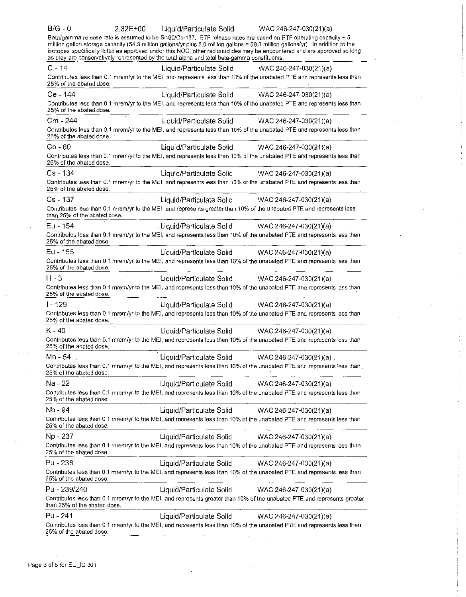| $B/G - 0$                                                                                    | $2.82E + 00$ | Liquid/Particulate Solid | WAC 246-247-030(21)(a)                                                                                                                                                                                                                                                                                                                                                           |
|----------------------------------------------------------------------------------------------|--------------|--------------------------|----------------------------------------------------------------------------------------------------------------------------------------------------------------------------------------------------------------------------------------------------------------------------------------------------------------------------------------------------------------------------------|
| as they are conservatively represented by the total alpha and total beta-gamma constituents. |              |                          | Beta/gamma release rate is assumed to be Sr-90/Cs-137. ETF release rates are based on ETF operating capacity + 5<br>million gallon storage capacity (54.3 million gallons/yr plus 5.0 million gallons = 59.3 million gallons/yr). In addition to the<br>isotopes specifically listed as approved under this NOC, other radionuclides may be encountered and are approved so long |
| $C - 14$                                                                                     |              | Liquid/Particulate Solid | WAC 246-247-030(21)(a)                                                                                                                                                                                                                                                                                                                                                           |
| 25% of the abated dose.                                                                      |              |                          | Contributes less than 0.1 mrem/yr to the MEI, and represents less than 10% of the unabated PTE and represents less than                                                                                                                                                                                                                                                          |
| Ce - 144                                                                                     |              | Liquid/Particulate Solid | WAC 246-247-030(21)(a)                                                                                                                                                                                                                                                                                                                                                           |
| 25% of the abated dose.                                                                      |              |                          | Contributes less than 0.1 mrem/yr to the MEI, and represents less than 10% of the unabated PTE and represents less than                                                                                                                                                                                                                                                          |
| Cm - 244                                                                                     |              | Liquid/Particulate Solid | WAC 246-247-030(21)(a)                                                                                                                                                                                                                                                                                                                                                           |
| 25% of the abated dose.                                                                      |              |                          | Contributes less than 0.1 mrem/yr to the MEI, and represents less than 10% of the unabated PTE and represents less than                                                                                                                                                                                                                                                          |
| $Co - 60$                                                                                    |              | Liquid/Particulate Solid | WAC 246-247-030(21)(a)                                                                                                                                                                                                                                                                                                                                                           |
| 25% of the abated dose.                                                                      |              |                          | Contributes less than 0.1 mrem/yr to the MEI, and represents less than 10% of the unabated PTE and represents less than                                                                                                                                                                                                                                                          |
| Cs - 134                                                                                     |              | Liquid/Particulate Solid | WAC 246-247-030(21)(a)                                                                                                                                                                                                                                                                                                                                                           |
| 25% of the abated dose.                                                                      |              |                          | Contributes less than 0.1 mrem/yr to the MEI, and represents less than 10% of the unabated PTE and represents less than                                                                                                                                                                                                                                                          |
| $Cs - 137$                                                                                   |              | Liquid/Particulate Solid | WAC 246-247-030(21)(a)                                                                                                                                                                                                                                                                                                                                                           |
| than 25% of the abated dose.                                                                 |              |                          | Contributes less than 0.1 mrem/yr to the MEI, and represents greater than 10% of the unabated PTE and represents less                                                                                                                                                                                                                                                            |
| Eu - 154                                                                                     |              |                          | Liquid/Particulate Solid WAC 246-247-030(21)(a)                                                                                                                                                                                                                                                                                                                                  |
| 25% of the abated dose.                                                                      |              |                          | Contributes less than 0.1 mrem/yr to the MEI, and represents less than 10% of the unabated PTE and represents less than                                                                                                                                                                                                                                                          |
| Eu - 155                                                                                     |              |                          | Liquid/Particulate Solid WAC 246-247-030(21)(a)                                                                                                                                                                                                                                                                                                                                  |
| 25% of the abated dose.                                                                      |              |                          | Contributes less than 0.1 mrem/yr to the MEI, and represents less than 10% of the unabated PTE and represents less than                                                                                                                                                                                                                                                          |
| $H - 3$<br>25% of the abated dose.                                                           |              |                          | Liquid/Particulate Solid WAC 246-247-030(21)(a)<br>Contributes less than 0.1 mrem/yr to the MEI, and represents less than 10% of the unabated PTE and represents less than                                                                                                                                                                                                       |
| $1 - 129$                                                                                    |              |                          | Liquid/Particulate Solid WAC 246-247-030(21)(a)                                                                                                                                                                                                                                                                                                                                  |
| 25% of the abated dose.                                                                      |              |                          | Contributes less than 0.1 mrem/yr to the MEI, and represents less than 10% of the unabated PTE and represents less than                                                                                                                                                                                                                                                          |
| $K - 40$                                                                                     |              |                          | Liquid/Particulate Solid WAC 246-247-030(21)(a)                                                                                                                                                                                                                                                                                                                                  |
| 25% of the abated dose.                                                                      |              |                          | Contributes less than 0.1 mrem/yr to the MEI, and represents less than 10% of the unabated PTE and represents less than                                                                                                                                                                                                                                                          |
| Mn - 54                                                                                      |              | Liquid/Particulate Solid | WAC 246-247-030(21)(a).                                                                                                                                                                                                                                                                                                                                                          |
| 25% of the abated dose.                                                                      |              |                          | Contributes less than 0.1 mrem/yr to the MEI, and represents less than 10% of the unabated PTE and represents less than                                                                                                                                                                                                                                                          |
| Na - 22                                                                                      |              | Liquid/Particulate Solid | WAC 246-247-030(21)(a)                                                                                                                                                                                                                                                                                                                                                           |
| 25% of the abated dose                                                                       |              |                          | Contributes less than 0.1 mrem/yr to the MEI, and represents less than 10% of the unabated PTE and represents less than                                                                                                                                                                                                                                                          |
| Nb - 94                                                                                      |              | Liquid/Particulate Solid | WAC 246-247-030(21)(a)                                                                                                                                                                                                                                                                                                                                                           |
| 25% of the abated dose.                                                                      |              |                          | Contributes less than 0.1 mrem/yr to the MEI, and represents less than 10% of the unabated PTE and represents less than                                                                                                                                                                                                                                                          |
| Np - 237                                                                                     |              | Liquid/Particulate Solid | WAC 246-247-030(21)(a)                                                                                                                                                                                                                                                                                                                                                           |
| 25% of the abated dose.                                                                      |              |                          | Contributes less than 0.1 mrem/yr.to the MEI, and represents less than 10% of the unabated PTE and represents less than                                                                                                                                                                                                                                                          |
| Pu - 238                                                                                     |              | Liquid/Particulate Solid | $WAC 246-247-030(21)(a)$                                                                                                                                                                                                                                                                                                                                                         |
| 25% of the abated dose.                                                                      |              |                          | Contributes less than 0.1 mrem/yr to the MEI, and represents less than 10% of the unabated PTE and represents less than                                                                                                                                                                                                                                                          |
| Pu - 239/240                                                                                 |              | Liquid/Particulate Solid | WAC 246-247-030(21)(a)                                                                                                                                                                                                                                                                                                                                                           |
| than 25% of the abated dose.                                                                 |              |                          | Contributes less than 0.1 mrem/yr to the MEI, and represents greater than 10% of the unabated PTE and represents greater                                                                                                                                                                                                                                                         |
| Pu - 241                                                                                     |              | Liquid/Particulate Solid | WAC 246-247-030(21)(a)                                                                                                                                                                                                                                                                                                                                                           |
| 25% of the abated dose.                                                                      |              |                          | Contributes less than 0.1 mrem/yr to the MEI, and represents less than 10% of the unabated PTE and represents less than                                                                                                                                                                                                                                                          |
|                                                                                              |              |                          |                                                                                                                                                                                                                                                                                                                                                                                  |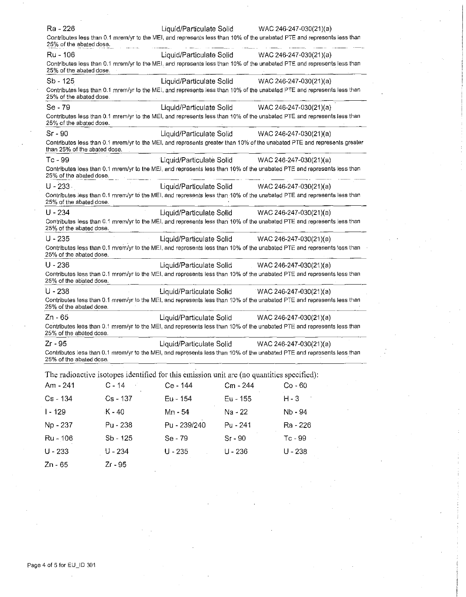| Ra - 226                     |                                                                                                                          | Liquid/Particulate Solid                        |           | WAC 246-247-030(21)(a) |  |
|------------------------------|--------------------------------------------------------------------------------------------------------------------------|-------------------------------------------------|-----------|------------------------|--|
| 25% of the abated dose.      | Contributes less than 0.1 mrem/yr to the MEI, and represents less than 10% of the unabated PTE and represents less than  |                                                 |           |                        |  |
| Ru - 106                     |                                                                                                                          | Liquid/Particulate Solid                        |           | WAC 246-247-030(21)(a) |  |
| 25% of the abated dose.      | Contributes less than 0.1 mrem/yr to the MEI, and represents less than 10% of the unabated PTE and represents less than  |                                                 |           |                        |  |
| $Sb - 125$                   |                                                                                                                          | Liquid/Particulate Solid                        |           | WAC 246-247-030(21)(a) |  |
| 25% of the abated dose.      | Contributes less than 0.1 mrem/yr to the MEI, and represents less than 10% of the unabated PTE and represents less than  |                                                 |           |                        |  |
| Se - 79                      |                                                                                                                          | Liquid/Particulate Solid WAC 246-247-030(21)(a) |           |                        |  |
| 25% of the abated dose.      | Contributes less than 0.1 mrem/yr to the MEI, and represents less than 10% of the unabated PTE and represents less than  |                                                 |           |                        |  |
| Sr - 90                      |                                                                                                                          | Liquid/Particulate Solid WAC 246-247-030(21)(a) |           |                        |  |
| than 25% of the abated dose. | Contributes less than 0.1 mrem/yr to the MEI, and represents greater than 10% of the unabated PTE and represents greater |                                                 |           |                        |  |
| Tc - 99                      |                                                                                                                          | Liquid/Particulate Solid WAC 246-247-030(21)(a) |           |                        |  |
| 25% of the abated dose.      | Contributes less than 0.1 mrem/yr to the MEI, and represents less than 10% of the unabated PTE and represents less than  |                                                 |           |                        |  |
| $U - 233 -$                  |                                                                                                                          | Liquid/Particulate Solid WAC 246-247-030(21)(a) |           |                        |  |
| 25% of the abated dose.      | Contributes less than 0.1 mrem/yr to the MEI, and represents less than 10% of the unabated PTE and represents less than  |                                                 |           |                        |  |
| $U - 234$                    |                                                                                                                          | Liquid/Particulate Solid WAC 246-247-030(21)(a) |           |                        |  |
| 25% of the abated dose.      | Contributes less than 0.1 mrem/yr to the MEI, and represents less than 10% of the unabated PTE and represents less than  |                                                 |           |                        |  |
| $U - 235$                    |                                                                                                                          | Liquid/Particulate Solid WAC 246-247-030(21)(a) |           |                        |  |
| 25% of the abated dose.      | Contributes less than 0.1 mrem/yr to the MEI, and represents less than 10% of the unabated PTE and represents less than  |                                                 |           |                        |  |
| $U - 236$                    |                                                                                                                          | Liquid/Particulate Solid WAC 246-247-030(21)(a) |           |                        |  |
| 25% of the abated dose.      | Contributes less than 0.1 mrem/yr to the MEI, and represents less than 10% of the unabated PTE and represents less than  |                                                 |           |                        |  |
| $U - 238$                    |                                                                                                                          | Liquid/Particulate Solid                        |           | WAC 246-247-030(21)(a) |  |
| 25% of the abated dose.      | Contributes less than 0.1 mrem/yr to the MEI, and represents less than 10% of the unabated PTE and represents less than  |                                                 |           |                        |  |
| Zn - 65                      |                                                                                                                          | Liquid/Particulate Solid                        |           | WAC 246-247-030(21)(a) |  |
| 25% of the abated dose.      | Contributes less than 0.1 mrem/yr to the MEI, and represents less than 10% of the unabated PTE and represents less than  |                                                 |           |                        |  |
| $Zr - 95$                    |                                                                                                                          | Liquid/Particulate Solid                        |           | WAC 246-247-030(21)(a) |  |
| 25% of the abated dose.      | Contributes less than 0.1 mrem/yr to the MEI, and represents less than 10% of the unabated PTE and represents less than  |                                                 |           |                        |  |
|                              | The radioactive isotopes identified for this emission unit are (no quantities specified):                                |                                                 |           |                        |  |
| Am - 241                     | $C - 14$                                                                                                                 | Ce - 144                                        | Cm - 244  | $Co - 60$              |  |
| Cs - 134                     | Cs - 137                                                                                                                 | Eu - 154                                        | Eu - 155  | $H - 3$                |  |
| $1 - 129$                    | $K - 40$                                                                                                                 | Mn - 54                                         | Na - 22   | Nb - 94                |  |
| Np - 237                     | Pu - 238                                                                                                                 | Pu - 239/240                                    | Pu - 241  | Ra - 226               |  |
| Ru - 106                     | Sb - 125                                                                                                                 | Se - 79                                         | Sr - 90   | Tc-99                  |  |
| $U - 233$                    | $U - 234$                                                                                                                | $U - 235$                                       | $U - 236$ | $U - 238$              |  |

Zn - 65 Zr - 95